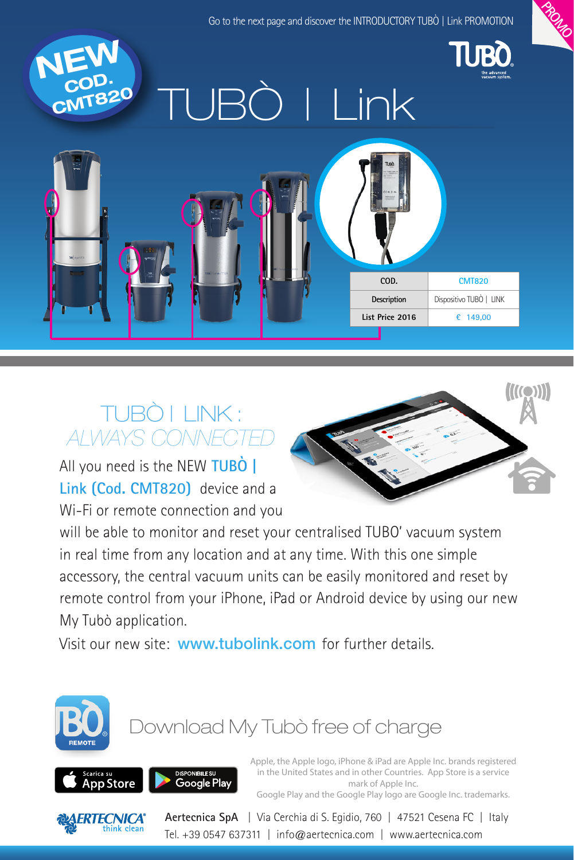

## TUBÒ | LINK : *ALWAYS CONNECTED*

All you need is the NEW **TUBÒ | Link (Cod. CMT820)** device and a Wi-Fi or remote connection and you



will be able to monitor and reset your centralised TUBO' vacuum system in real time from any location and at any time. With this one simple accessory, the central vacuum units can be easily monitored and reset by remote control from your iPhone, iPad or Android device by using our new My Tubò application.

Visit our new site: www.tubolink.com for further details.



# Download My Tubò free of charge



Apple, the Apple logo, iPhone & iPad are Apple Inc. brands registered in the United States and in other Countries. App Store is a service mark of Apple Inc. Google Play and the Google Play logo are Google Inc. trademarks.



**Aertecnica SpA** | Via Cerchia di S. Egidio, 760 | 47521 Cesena FC | Italy Tel. +39 0547 637311 | info@aertecnica.com | www.aertecnica.com